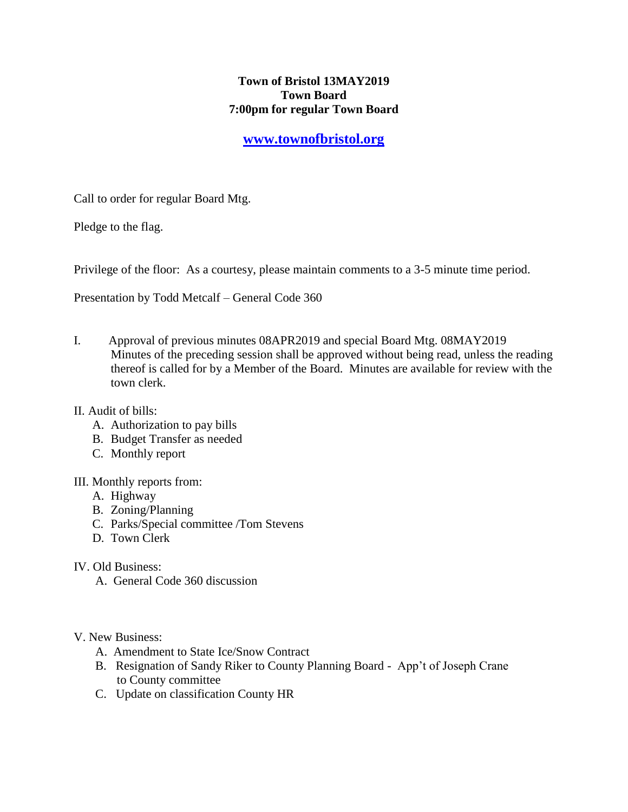## **Town of Bristol 13MAY2019 Town Board 7:00pm for regular Town Board**

## **[www.townofbristol.org](http://www.townofbristol.org/)**

Call to order for regular Board Mtg.

Pledge to the flag.

Privilege of the floor: As a courtesy, please maintain comments to a 3-5 minute time period.

Presentation by Todd Metcalf – General Code 360

- I. Approval of previous minutes 08APR2019 and special Board Mtg. 08MAY2019 Minutes of the preceding session shall be approved without being read, unless the reading thereof is called for by a Member of the Board. Minutes are available for review with the town clerk.
- II. Audit of bills:
	- A. Authorization to pay bills
	- B. Budget Transfer as needed
	- C. Monthly report
- III. Monthly reports from:
	- A. Highway
	- B. Zoning/Planning
	- C. Parks/Special committee /Tom Stevens
	- D. Town Clerk
- IV. Old Business:
	- A. General Code 360 discussion

V. New Business:

- A. Amendment to State Ice/Snow Contract
- B. Resignation of Sandy Riker to County Planning Board App't of Joseph Crane to County committee
- C. Update on classification County HR